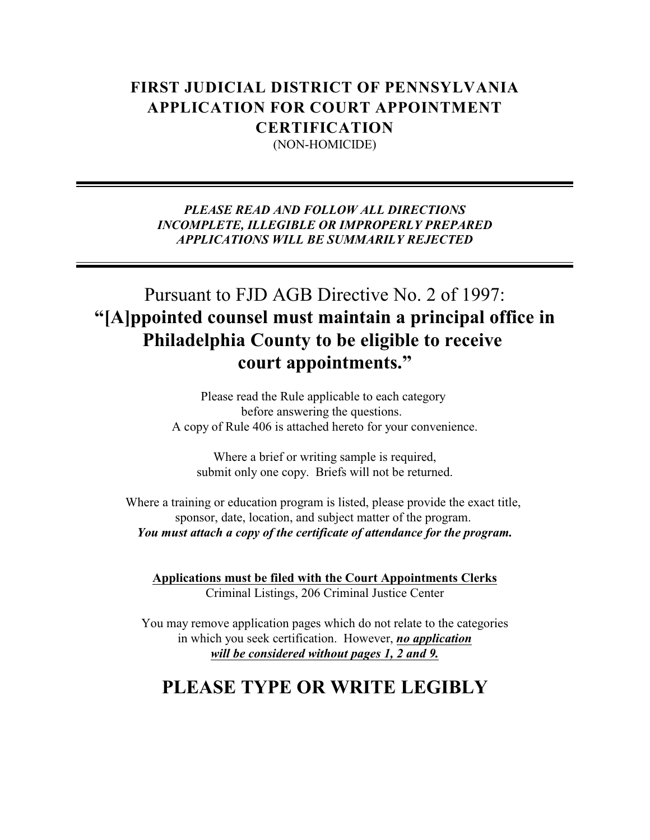## **FIRST JUDICIAL DISTRICT OF PENNSYLVANIA APPLICATION FOR COURT APPOINTMENT CERTIFICATION**

(NON-HOMICIDE)

#### *PLEASE READ AND FOLLOW ALL DIRECTIONS INCOMPLETE, ILLEGIBLE OR IMPROPERLY PREPARED APPLICATIONS WILL BE SUMMARILY REJECTED*

# Pursuant to FJD AGB Directive No. 2 of 1997: **"[A]ppointed counsel must maintain a principal office in Philadelphia County to be eligible to receive court appointments."**

Please read the Rule applicable to each category before answering the questions. A copy of Rule 406 is attached hereto for your convenience.

Where a brief or writing sample is required, submit only one copy. Briefs will not be returned.

Where a training or education program is listed, please provide the exact title, sponsor, date, location, and subject matter of the program. *You must attach a copy of the certificate of attendance for the program.*

**Applications must be filed with the Court Appointments Clerks** Criminal Listings, 206 Criminal Justice Center

You may remove application pages which do not relate to the categories in which you seek certification. However, *no application will be considered without pages 1, 2 and 9.*

## **PLEASE TYPE OR WRITE LEGIBLY**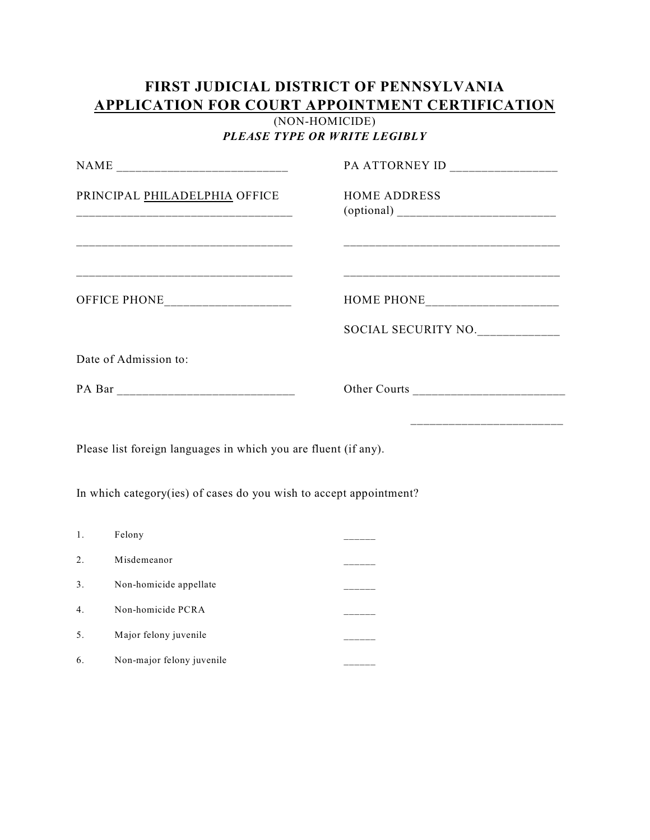### **FIRST JUDICIAL DISTRICT OF PENNSYLVANIA APPLICATION FOR COURT APPOINTMENT CERTIFICATION**

#### (NON-HOMICIDE) *PLEASE TYPE OR WRITE LEGIBLY*

|                                                                 | PA ATTORNEY ID __________________ |  |  |  |
|-----------------------------------------------------------------|-----------------------------------|--|--|--|
| PRINCIPAL PHILADELPHIA OFFICE                                   | <b>HOME ADDRESS</b>               |  |  |  |
|                                                                 |                                   |  |  |  |
| OFFICE PHONE______________________                              |                                   |  |  |  |
|                                                                 | SOCIAL SECURITY NO.               |  |  |  |
| Date of Admission to:                                           |                                   |  |  |  |
|                                                                 |                                   |  |  |  |
| Please list foreign languages in which you are fluent (if any). |                                   |  |  |  |

In which category(ies) of cases do you wish to accept appointment?

| 1.             | Felony                    |  |
|----------------|---------------------------|--|
| $\mathfrak{D}$ | Misdemeanor               |  |
| 3.             | Non-homicide appellate    |  |
| $\overline{4}$ | Non-homicide PCRA         |  |
| 5.             | Major felony juvenile     |  |
| 6.             | Non-major felony juvenile |  |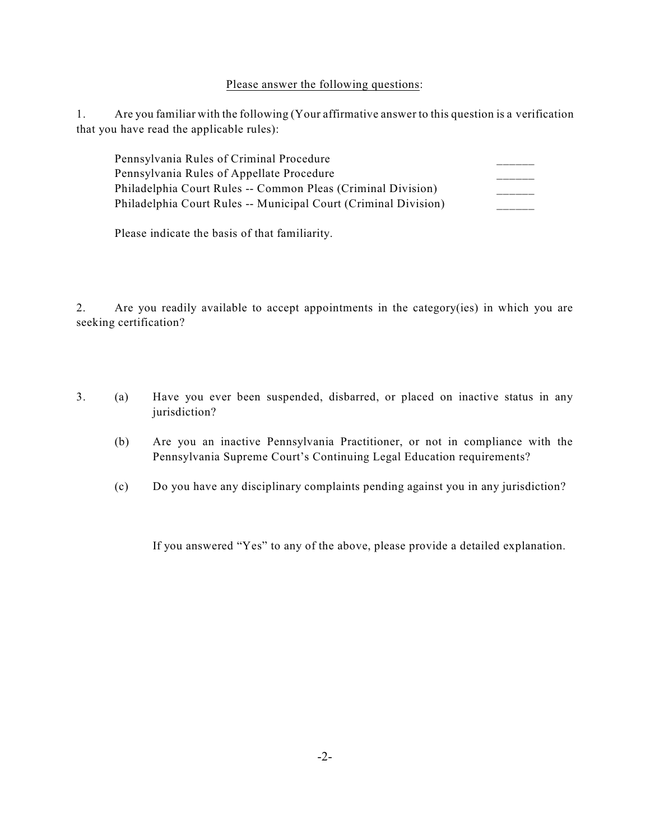#### Please answer the following questions:

1. Are you familiar with the following (Your affirmative answer to this question is a verification that you have read the applicable rules):

| Pennsylvania Rules of Criminal Procedure                        |  |
|-----------------------------------------------------------------|--|
| Pennsylvania Rules of Appellate Procedure                       |  |
| Philadelphia Court Rules -- Common Pleas (Criminal Division)    |  |
| Philadelphia Court Rules -- Municipal Court (Criminal Division) |  |

Please indicate the basis of that familiarity.

2. Are you readily available to accept appointments in the category(ies) in which you are seeking certification?

- 3. (a) Have you ever been suspended, disbarred, or placed on inactive status in any jurisdiction?
	- (b) Are you an inactive Pennsylvania Practitioner, or not in compliance with the Pennsylvania Supreme Court's Continuing Legal Education requirements?
	- (c) Do you have any disciplinary complaints pending against you in any jurisdiction?

If you answered "Yes" to any of the above, please provide a detailed explanation.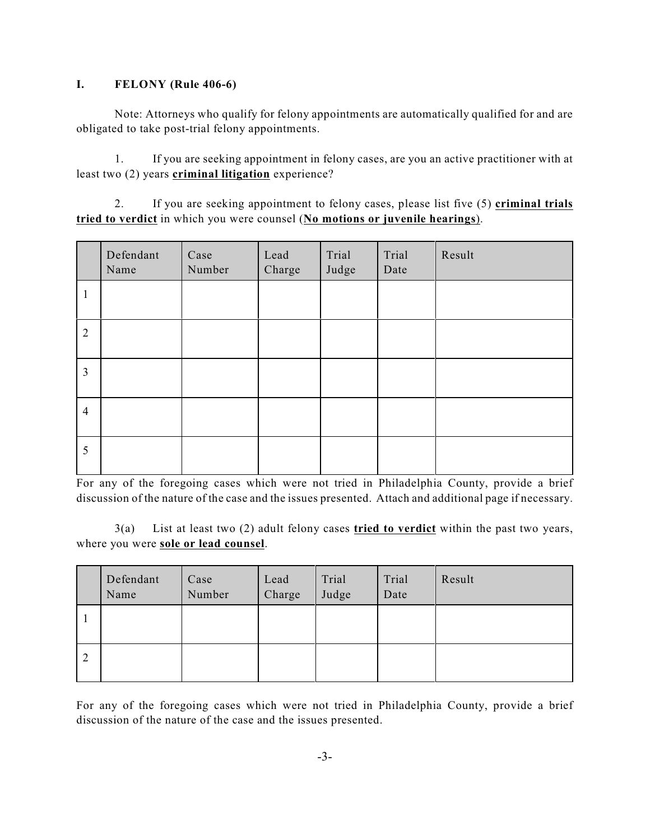#### **I. FELONY (Rule 406-6)**

Note: Attorneys who qualify for felony appointments are automatically qualified for and are obligated to take post-trial felony appointments.

1. If you are seeking appointment in felony cases, are you an active practitioner with at least two (2) years **criminal litigation** experience?

2. If you are seeking appointment to felony cases, please list five (5) **criminal trials tried to verdict** in which you were counsel (**No motions or juvenile hearings**).

|                | Defendant<br>Name | Case<br>Number | Lead<br>Charge | Trial<br>Judge | Trial<br>Date | Result |
|----------------|-------------------|----------------|----------------|----------------|---------------|--------|
| $\mathbf{1}$   |                   |                |                |                |               |        |
| $\overline{2}$ |                   |                |                |                |               |        |
| $\overline{3}$ |                   |                |                |                |               |        |
| $\overline{4}$ |                   |                |                |                |               |        |
| 5              |                   |                |                |                |               |        |

For any of the foregoing cases which were not tried in Philadelphia County, provide a brief discussion of the nature of the case and the issues presented. Attach and additional page if necessary.

3(a) List at least two (2) adult felony cases **tried to verdict** within the past two years, where you were **sole or lead counsel**.

|                | Defendant<br>Name | Case<br>Number | Lead<br>Charge | Trial<br>Judge | Trial<br>Date | Result |
|----------------|-------------------|----------------|----------------|----------------|---------------|--------|
|                |                   |                |                |                |               |        |
| $\overline{2}$ |                   |                |                |                |               |        |

For any of the foregoing cases which were not tried in Philadelphia County, provide a brief discussion of the nature of the case and the issues presented.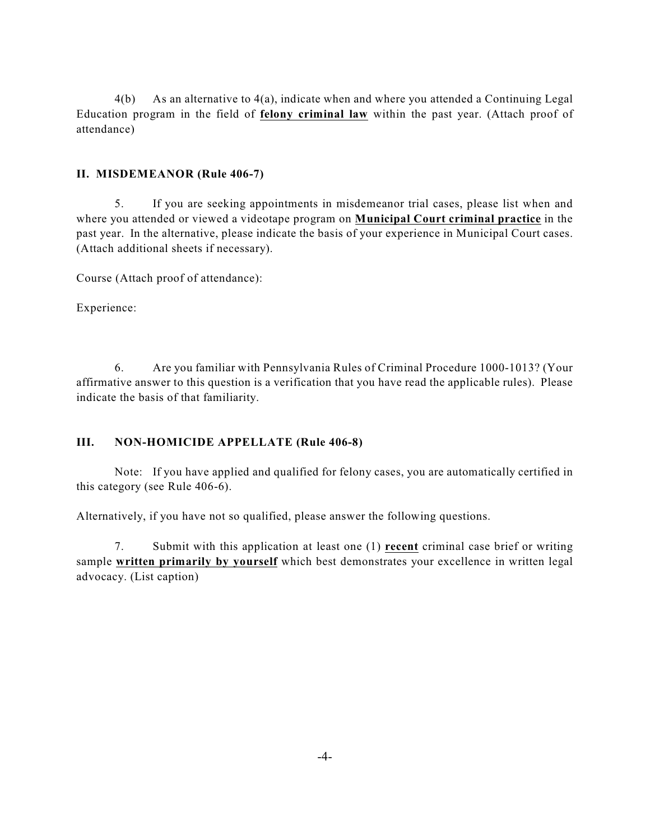4(b) As an alternative to 4(a), indicate when and where you attended a Continuing Legal Education program in the field of **felony criminal law** within the past year. (Attach proof of attendance)

#### **II. MISDEMEANOR (Rule 406-7)**

5. If you are seeking appointments in misdemeanor trial cases, please list when and where you attended or viewed a videotape program on **Municipal Court criminal practice** in the past year. In the alternative, please indicate the basis of your experience in Municipal Court cases. (Attach additional sheets if necessary).

Course (Attach proof of attendance):

Experience:

6. Are you familiar with Pennsylvania Rules of Criminal Procedure 1000-1013? (Your affirmative answer to this question is a verification that you have read the applicable rules). Please indicate the basis of that familiarity.

#### **III. NON-HOMICIDE APPELLATE (Rule 406-8)**

Note: If you have applied and qualified for felony cases, you are automatically certified in this category (see Rule 406-6).

Alternatively, if you have not so qualified, please answer the following questions.

7. Submit with this application at least one (1) **recent** criminal case brief or writing sample **written primarily by yourself** which best demonstrates your excellence in written legal advocacy. (List caption)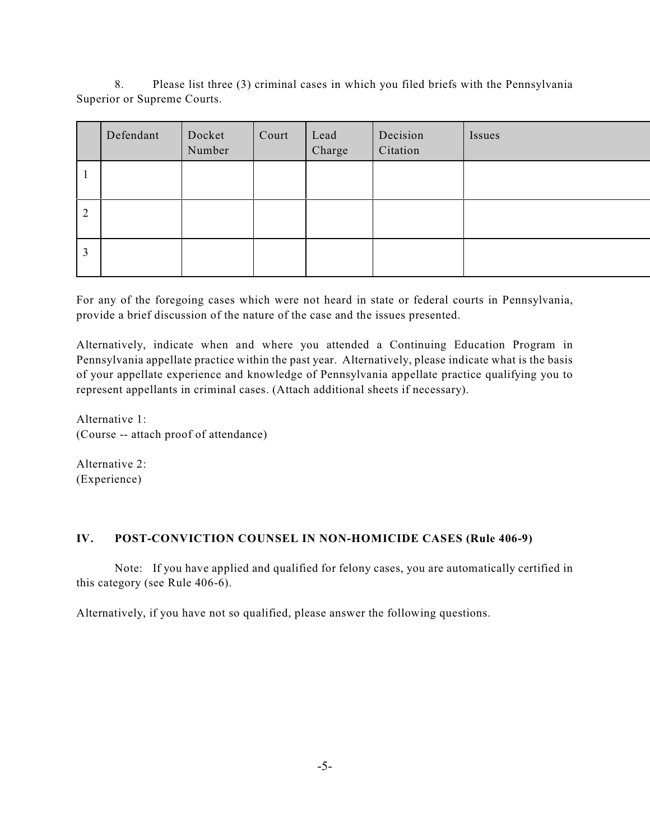8. Please list three (3) criminal cases in which you filed briefs with the Pennsylvania Superior or Supreme Courts.

|   | Defendant | Docket<br>Number | Court | Lead<br>Charge | Decision<br>Citation | Issues |
|---|-----------|------------------|-------|----------------|----------------------|--------|
|   |           |                  |       |                |                      |        |
| 2 |           |                  |       |                |                      |        |
| 3 |           |                  |       |                |                      |        |

For any of the foregoing cases which were not heard in state or federal courts in Pennsylvania, provide a brief discussion of the nature of the case and the issues presented.

Alternatively, indicate when and where you attended a Continuing Education Program in Pennsylvania appellate practice within the past year. Alternatively, please indicate what is the basis of your appellate experience and knowledge of Pennsylvania appellate practice qualifying you to represent appellants in criminal cases. (Attach additional sheets if necessary).

Alternative 1: (Course -- attach proof of attendance)

Alternative 2: (Experience)

#### **IV. POST-CONVICTION COUNSEL IN NON-HOMICIDE CASES (Rule 406-9)**

Note: If you have applied and qualified for felony cases, you are automatically certified in this category (see Rule 406-6).

Alternatively, if you have not so qualified, please answer the following questions.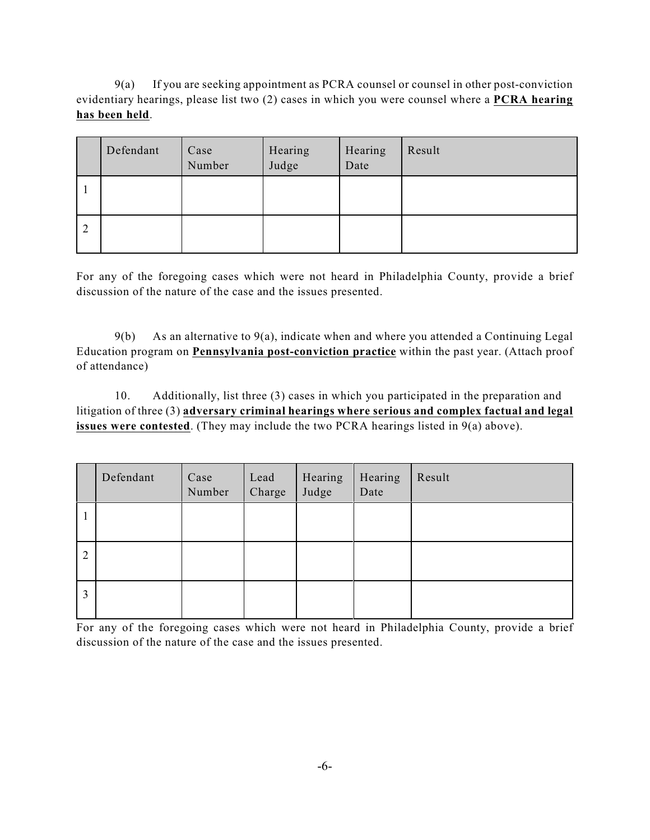9(a) If you are seeking appointment as PCRA counsel or counsel in other post-conviction evidentiary hearings, please list two (2) cases in which you were counsel where a **PCRA hearing has been held**.

|                | Defendant | Case<br>Number | Hearing<br>Judge | Hearing<br>Date | Result |
|----------------|-----------|----------------|------------------|-----------------|--------|
|                |           |                |                  |                 |        |
| $\overline{2}$ |           |                |                  |                 |        |

For any of the foregoing cases which were not heard in Philadelphia County, provide a brief discussion of the nature of the case and the issues presented.

 $9(b)$  As an alternative to  $9(a)$ , indicate when and where you attended a Continuing Legal Education program on **Pennsylvania post-conviction practice** within the past year. (Attach proof of attendance)

10. Additionally, list three (3) cases in which you participated in the preparation and litigation of three (3) **adversary criminal hearings where serious and complex factual and legal issues were contested**. (They may include the two PCRA hearings listed in 9(a) above).

|                | Defendant | Case<br>Number | Lead<br>Charge | Hearing<br>Judge | Hearing<br>Date | Result |
|----------------|-----------|----------------|----------------|------------------|-----------------|--------|
|                |           |                |                |                  |                 |        |
| $\overline{2}$ |           |                |                |                  |                 |        |
| 3              |           |                |                |                  |                 |        |

For any of the foregoing cases which were not heard in Philadelphia County, provide a brief discussion of the nature of the case and the issues presented.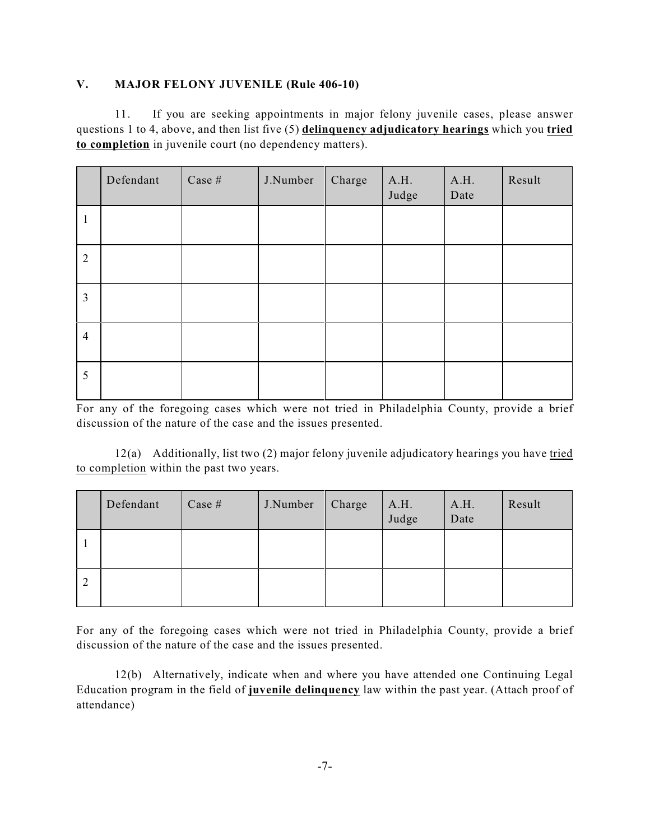#### **V. MAJOR FELONY JUVENILE (Rule 406-10)**

11. If you are seeking appointments in major felony juvenile cases, please answer questions 1 to 4, above, and then list five (5) **delinquency adjudicatory hearings** which you **tried to completion** in juvenile court (no dependency matters).

|                | Defendant | Case $#$ | J.Number | Charge | A.H.<br>Judge | A.H.<br>Date | Result |
|----------------|-----------|----------|----------|--------|---------------|--------------|--------|
| $\mathbf{1}$   |           |          |          |        |               |              |        |
| $\overline{2}$ |           |          |          |        |               |              |        |
| $\mathfrak{Z}$ |           |          |          |        |               |              |        |
| $\overline{4}$ |           |          |          |        |               |              |        |
| 5              |           |          |          |        |               |              |        |

For any of the foregoing cases which were not tried in Philadelphia County, provide a brief discussion of the nature of the case and the issues presented.

12(a) Additionally, list two (2) major felony juvenile adjudicatory hearings you have tried to completion within the past two years.

|   | Defendant | Case # | J.Number | Charge | A.H.<br>Judge | A.H.<br>Date | Result |
|---|-----------|--------|----------|--------|---------------|--------------|--------|
|   |           |        |          |        |               |              |        |
| 2 |           |        |          |        |               |              |        |

For any of the foregoing cases which were not tried in Philadelphia County, provide a brief discussion of the nature of the case and the issues presented.

12(b) Alternatively, indicate when and where you have attended one Continuing Legal Education program in the field of **juvenile delinquency** law within the past year. (Attach proof of attendance)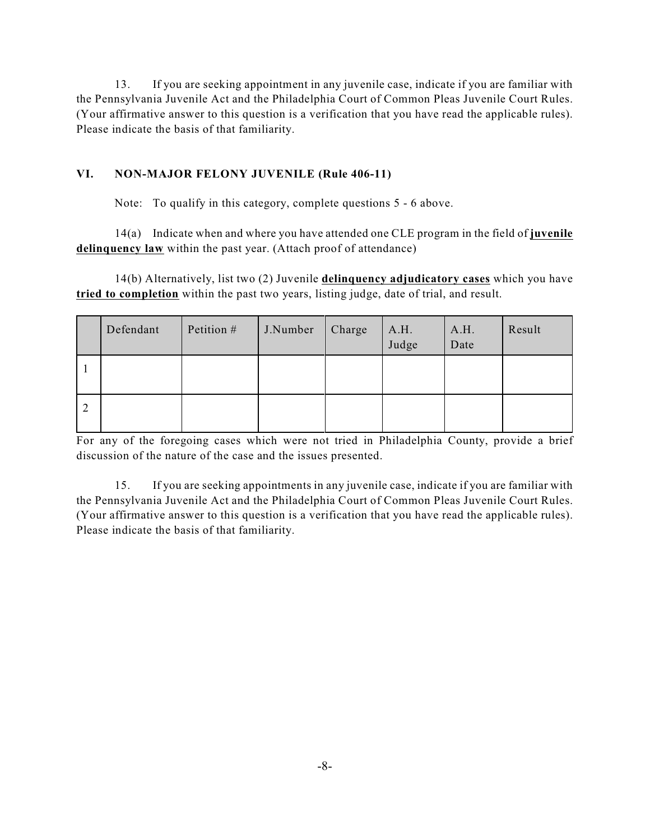13. If you are seeking appointment in any juvenile case, indicate if you are familiar with the Pennsylvania Juvenile Act and the Philadelphia Court of Common Pleas Juvenile Court Rules. (Your affirmative answer to this question is a verification that you have read the applicable rules). Please indicate the basis of that familiarity.

#### **VI. NON-MAJOR FELONY JUVENILE (Rule 406-11)**

Note: To qualify in this category, complete questions 5 - 6 above.

14(a) Indicate when and where you have attended one CLE program in the field of **juvenile delinquency law** within the past year. (Attach proof of attendance)

14(b) Alternatively, list two (2) Juvenile **delinquency adjudicatory cases** which you have **tried to completion** within the past two years, listing judge, date of trial, and result.

|                | Defendant | Petition # | J.Number | Charge | A.H.<br>Judge | A.H.<br>Date | Result |
|----------------|-----------|------------|----------|--------|---------------|--------------|--------|
|                |           |            |          |        |               |              |        |
| $\overline{2}$ |           |            |          |        |               |              |        |

For any of the foregoing cases which were not tried in Philadelphia County, provide a brief discussion of the nature of the case and the issues presented.

15. If you are seeking appointments in any juvenile case, indicate if you are familiar with the Pennsylvania Juvenile Act and the Philadelphia Court of Common Pleas Juvenile Court Rules. (Your affirmative answer to this question is a verification that you have read the applicable rules). Please indicate the basis of that familiarity.